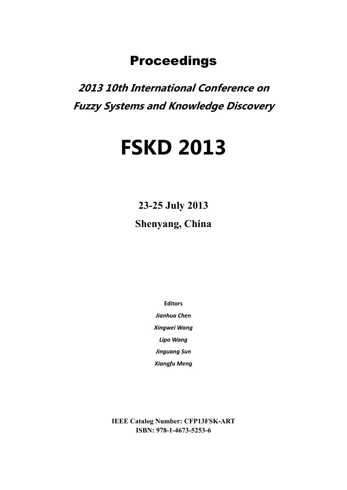### Proceedings

**2013 10th International Conference on Fuzzy Systems and Knowledge Discovery** 

# **FSKD 2013**

**23-25 July 2013 Shenyang, China** 

**Editors**

*Jianhua Chen Xingwei Wang Lipo Wang Jinguang Sun*

*Xiangfu Meng*

**IEEE Catalog Number: CFP13FSK-ART ISBN: 978-1-4673-5253-6**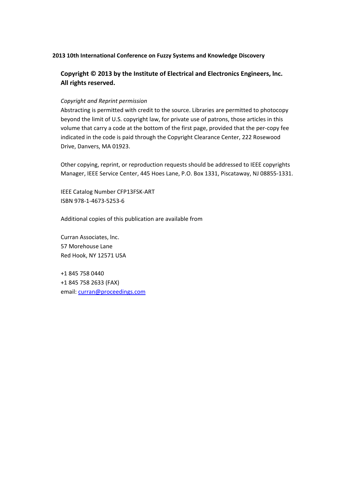#### **2013 10th International Conference on Fuzzy Systems and Knowledge Discovery**

**Copyright © 2013 by the Institute of Electrical and Electronics Engineers, lnc. All rights reserved.**

#### *Copyright and Reprint permission*

Abstracting is permitted with credit to the source. Libraries are permitted to photocopy beyond the limit of U.S. copyright law, for private use of patrons, those articles in this volume that carry a code at the bottom of the first page, provided that the per‐copy fee indicated in the code is paid through the Copyright Clearance Center, 222 Rosewood Drive, Danvers, MA 01923.

Other copying, reprint, or reproduction requests should be addressed to IEEE copyrights Manager, IEEE Service Center, 445 Hoes Lane, P.O. Box 1331, Piscataway, NJ 08855‐1331.

IEEE Catalog Number CFP13FSK‐ART ISBN 978‐1‐4673‐5253‐6

Additional copies of this publication are available from

Curran Associates, lnc. 57 Morehouse Lane Red Hook, NY 12571 USA

+1 845 758 0440 +1 845 758 2633 (FAX) email: curran@proceedings.com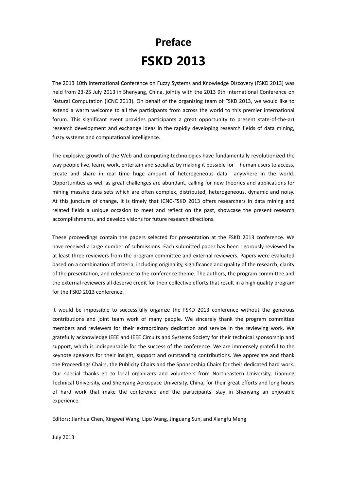# **Preface FSKD 2013**

The 2013 10th International Conference on Fuzzy Systems and Knowledge Discovery (FSKD 2013) was held from 23-25 July 2013 in Shenyang, China, jointly with the 2013 9th International Conference on Natural Computation (ICNC 2013). On behalf of the organizing team of FSKD 2013, we would like to extend a warm welcome to all the participants from across the world to this premier international forum. This significant event provides participants a great opportunity to present state-of-the-art research development and exchange ideas in the rapidly developing research fields of data mining, fuzzy systems and computational intelligence.

The explosive growth of the Web and computing technologies have fundamentally revolutionized the way people live, learn, work, entertain and socialize by making it possible for human users to access, create and share in real time huge amount of heterogeneous data anywhere in the world. Opportunities as well as great challenges are abundant, calling for new theories and applications for mining massive data sets which are often complex, distributed, heterogeneous, dynamic and noisy. At this juncture of change, it is timely that ICNC-FSKD 2013 offers researchers in data mining and related fields a unique occasion to meet and reflect on the past, showcase the present research accomplishments, and develop visions for future research directions.

These proceedings contain the papers selected for presentation at the FSKD 2013 conference. We have received a large number of submissions. Each submitted paper has been rigorously reviewed by at least three reviewers from the program committee and external reviewers. Papers were evaluated based on a combination of criteria, including originality, significance and quality of the research, clarity of the presentation, and relevance to the conference theme. The authors, the program committee and the external reviewers all deserve credit for their collective efforts that result in a high quality program for the FSKD 2013 conference.

It would be impossible to successfully organize the FSKD 2013 conference without the generous contributions and joint team work of many people. We sincerely thank the program committee members and reviewers for their extraordinary dedication and service in the reviewing work. We gratefully acknowledge IEEE and IEEE Circuits and Systems Society for their technical sponsorship and support, which is indispensable for the success of the conference. We are immensely grateful to the keynote speakers for their insight, support and outstanding contributions. We appreciate and thank the Proceedings Chairs, the Publicity Chairs and the Sponsorship Chairs for their dedicated hard work. Our special thanks go to local organizers and volunteers from Northeastern University, Liaoning Technical University, and Shenyang Aerospace University, China, for their great efforts and long hours of hard work that make the conference and the participants' stay in Shenyang an enjoyable experience.

Editors: Jianhua Chen, Xingwei Wang, Lipo Wang, Jinguang Sun, and Xiangfu Meng

July 2013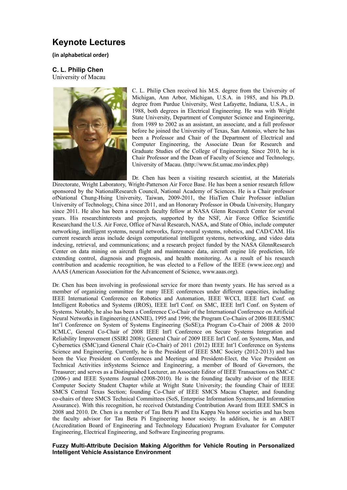### **Keynote Lectures**

**(in alphabetical order)**

#### **C. L. Philip Chen**

University of Macau



C. L. Philip Chen received his M.S. degree from the University of Michigan, Ann Arbor, Michigan, U.S.A. in 1985, and his Ph.D. degree from Purdue University, West Lafayette, Indiana, U.S.A., in 1988, both degrees in Electrical Engineering. He was with Wright State University, Department of Computer Science and Engineering, from 1989 to 2002 as an assistant, an associate, and a full professor before he joined the University of Texas, San Antonio, where he has been a Professor and Chair of the Department of Electrical and Computer Engineering, the Associate Dean for Research and Graduate Studies of the College of Engineering. Since 2010, he is Chair Professor and the Dean of Faculty of Science and Technology, University of Macau. (http://www.fst.umac.mo/index.php)

Dr. Chen has been a visiting research scientist, at the Materials

Directorate, Wright Laboratory, Wright-Patterson Air Force Base. He has been a senior research fellow sponsored by the NationalResearch Council, National Academy of Sciences. He is a Chair professor ofNational Chung-Hsing University, Taiwan, 2009-2011, the HiaTien Chair Professor inDalian University of Technology, China since 2011, and an Honorary Professor in Obuda University, Hungary since 2011. He also has been a research faculty fellow at NASA Glenn Research Center for several years. His researchinterests and projects, supported by the NSF, Air Force Office Scientific Researchand the U.S. Air Force, Office of Naval Research, NASA, and State of Ohio, include computer networking, intelligent systems, neural networks, fuzzy-neural systems, robotics, and CAD/CAM. His current research areas include design computational intelligent systems, networking, and video data indexing, retrieval, and communications; and a research project funded by the NASA GlennResearch Center on data mining on aircraft flight and maintenance data, aircraft engine life prediction, life extending control, diagnosis and prognosis, and health monitoring. As a result of his research contribution and academic recognition, he was elected to a Fellow of the IEEE (www.ieee.org) and AAAS (American Association for the Advancement of Science, www.aaas.org).

Dr. Chen has been involving in professional service for more than twenty years. He has served as a member of organizing committee for many IEEE conferences under different capacities, including IEEE International Conference on Robotics and Automation, IEEE WCCI, IEEE Int'l Conf. on Intelligent Robotics and Systems (IROS), IEEE Int'l Conf. on SMC, IEEE Int'l Conf. on System of Systems. Notably, he also has been a Conference Co-Chair of the International Conference on Artificial Neural Networks in Engineering (ANNIE), 1995 and 1996; the Program Co-Chairs of 2006 IEEE/SMC Int'l Conference on System of Systems Engineering (SoSE);a Program Co-Chair of 2008 & 2010 ICMLC, General Co-Chair of 2008 IEEE Int'l Conference on Secure Systems Integration and Reliability Improvement (SSIRI 2008); General Chair of 2009 IEEE Int'l Conf. on Systems, Man, and Cybernetics (SMC);and General Chair (Co-Chair) of 2011 (2012) IEEE Int'l Conference on Systems Science and Engineering. Currently, he is the President of IEEE SMC Society (2012-2013) and has been the Vice President on Conferences and Meetings and President-Elect, the Vice President on Technical Activities inSystems Science and Engineering, a member of Board of Governors, the Treasurer; and serves as a Distinguished Lecturer, an Associate Editor of IEEE Transactions on SMC-C (2006-) and IEEE Systems Journal (2008-2010). He is the founding faculty advisor of the IEEE Computer Society Student Chapter while at Wright State University; the founding Chair of IEEE SMCS Central Texas Section; founding Co-Chair of IEEE SMCS Macau Chapter, and founding co-chairs of three SMCS Technical Committees (SoS, Enterprise Information Systems,and Information Assurance). With this recognition, he received Outstanding Contribution Award from IEEE SMCS in 2008 and 2010. Dr. Chen is a member of Tau Beta Pi and Eta Kappa Nu honor societies and has been the faculty advisor for Tau Beta Pi Engineering honor society. In addition, he is an ABET (Accreditation Board of Engineering and Technology Education) Program Evaluator for Computer Engineering, Electrical Engineering, and Software Engineering programs.

#### **Fuzzy Multi-Attribute Decision Making Algorithm for Vehicle Routing in Personalized Intelligent Vehicle Assistance Environment**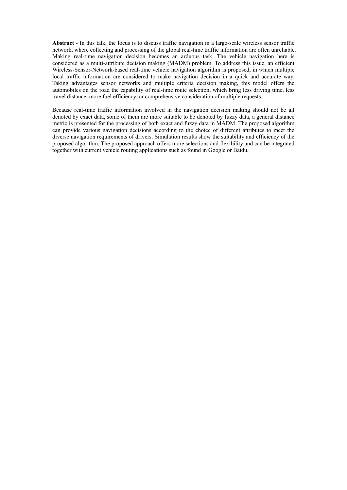**Abstract** - In this talk, the focus is to discuss traffic navigation in a large-scale wireless sensor traffic network, where collecting and processing of the global real-time traffic information are often unreliable. Making real-time navigation decision becomes an arduous task. The vehicle navigation here is considered as a multi-attribute decision making (MADM) problem. To address this issue, an efficient Wireless-Sensor-Network-based real-time vehicle navigation algorithm is proposed, in which multiple local traffic information are considered to make navigation decision in a quick and accurate way. Taking advantages sensor networks and multiple criteria decision making, this model offers the automobiles on the road the capability of real-time route selection, which bring less driving time, less travel distance, more fuel efficiency, or comprehensive consideration of multiple requests.

Because real-time traffic information involved in the navigation decision making should not be all denoted by exact data, some of them are more suitable to be denoted by fuzzy data, a general distance metric is presented for the processing of both exact and fuzzy data in MADM. The proposed algorithm can provide various navigation decisions according to the choice of different attributes to meet the diverse navigation requirements of drivers. Simulation results show the suitability and efficiency of the proposed algorithm. The proposed approach offers more selections and flexibility and can be integrated together with current vehicle routing applications such as found in Google or Baidu.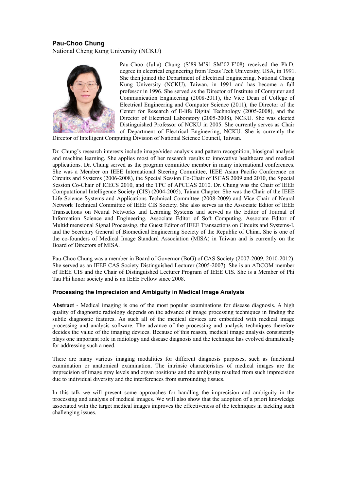#### **Pau-Choo Chung** National Cheng Kung University (NCKU)



Pau-Choo (Julia) Chung (S'89-M'91-SM'02-F'08) received the Ph.D. degree in electrical engineering from Texas Tech University, USA, in 1991. She then joined the Department of Electrical Engineering, National Cheng Kung University (NCKU), Taiwan, in 1991 and has become a full professor in 1996. She served as the Director of Institute of Computer and Communication Engineering (2008-2011), the Vice Dean of College of Electrical Engineering and Computer Science (2011), the Director of the Center for Research of E-life Digital Technology (2005-2008), and the Director of Electrical Laboratory (2005-2008), NCKU. She was elected Distinguished Professor of NCKU in 2005. She currently serves as Chair of Department of Electrical Engineering, NCKU. She is currently the

Director of Intelligent Computing Division of National Science Council, Taiwan.

Dr. Chung's research interests include image/video analysis and pattern recognition, biosignal analysis and machine learning. She applies most of her research results to innovative healthcare and medical applications. Dr. Chung served as the program committee member in many international conferences. She was a Member on IEEE International Steering Committee, IEEE Asian Pacific Conference on Circuits and Systems (2006-2008), the Special Session Co-Chair of ISCAS 2009 and 2010, the Special Session Co-Chair of ICECS 2010, and the TPC of APCCAS 2010. Dr. Chung was the Chair of IEEE Computational Intelligence Society (CIS) (2004-2005), Tainan Chapter. She was the Chair of the IEEE Life Science Systems and Applications Technical Committee (2008-2009) and Vice Chair of Neural Network Technical Committee of IEEE CIS Society. She also serves as the Associate Editor of IEEE Transactions on Neural Networks and Learning Systems and served as the Editor of Journal of Information Science and Engineering, Associate Editor of Soft Computing, Associate Editor of Multidimensional Signal Processing, the Guest Editor of IEEE Transactions on Circuits and Systems-I, and the Secretary General of Biomedical Engineering Society of the Republic of China. She is one of the co-founders of Medical Image Standard Association (MISA) in Taiwan and is currently on the Board of Directors of MISA.

Pau-Choo Chung was a member in Board of Governor (BoG) of CAS Society (2007-2009, 2010-2012). She served as an IEEE CAS Society Distinguished Lecturer (2005-2007). She is an ADCOM member of IEEE CIS and the Chair of Distinguished Lecturer Program of IEEE CIS. She is a Member of Phi Tau Phi honor society and is an IEEE Fellow since 2008.

#### **Processing the Imprecision and Ambiguity in Medical Image Analysis**

**Abstract** - Medical imaging is one of the most popular examinations for disease diagnosis. A high quality of diagnostic radiology depends on the advance of image processing techniques in finding the subtle diagnostic features. As such all of the medical devices are embedded with medical image processing and analysis software. The advance of the processing and analysis techniques therefore decides the value of the imaging devices. Because of this reason, medical image analysis consistently plays one important role in radiology and disease diagnosis and the technique has evolved dramatically for addressing such a need.

There are many various imaging modalities for different diagnosis purposes, such as functional examination or anatomical examination. The intrinsic characteristics of medical images are the imprecision of image gray levels and organ positions and the ambiguity resulted from such imprecision due to individual diversity and the interferences from surrounding tissues.

In this talk we will present some approaches for handling the imprecision and ambiguity in the processing and analysis of medical images. We will also show that the adoption of a priori knowledge associated with the target medical images improves the effectiveness of the techniques in tackling such challenging issues.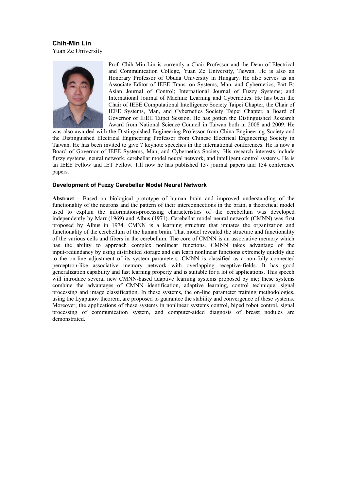**Chih-Min Lin** Yuan Ze University



Prof. Chih-Min Lin is currently a Chair Professor and the Dean of Electrical and Communication College, Yuan Ze University, Taiwan. He is also an Honorary Professor of Obuda University in Hungary. He also serves as an Associate Editor of IEEE Trans. on Systems, Man, and Cybernetics, Part B; Asian Journal of Control; International Journal of Fuzzy Systems; and International Journal of Machine Learning and Cybernetics. He has been the Chair of IEEE Computational Intelligence Society Taipei Chapter, the Chair of IEEE Systems, Man, and Cybernetics Society Taipei Chapter, a Board of Governor of IEEE Taipei Session. He has gotten the Distinguished Research Award from National Science Council in Taiwan both in 2008 and 2009. He

was also awarded with the Distinguished Engineering Professor from China Engineering Society and the Distinguished Electrical Engineering Professor from Chinese Electrical Engineering Society in Taiwan. He has been invited to give 7 keynote speeches in the international conferences. He is now a Board of Governor of IEEE Systems, Man, and Cybernetics Society. His research interests include fuzzy systems, neural network, cerebellar model neural network, and intelligent control systems. He is an IEEE Fellow and IET Fellow. Till now he has published 137 journal papers and 154 conference papers.

#### **Development of Fuzzy Cerebellar Model Neural Network**

**Abstract** - Based on biological prototype of human brain and improved understanding of the functionality of the neurons and the pattern of their interconnections in the brain, a theoretical model used to explain the information-processing characteristics of the cerebellum was developed independently by Marr (1969) and Albus (1971). Cerebellar model neural network (CMNN) was first proposed by Albus in 1974. CMNN is a learning structure that imitates the organization and functionality of the cerebellum of the human brain. That model revealed the structure and functionality of the various cells and fibers in the cerebellum. The core of CMNN is an associative memory which has the ability to approach complex nonlinear functions. CMNN takes advantage of the input-redundancy by using distributed storage and can learn nonlinear functions extremely quickly due to the on-line adjustment of its system parameters. CMNN is classified as a non-fully connected perceptron-like associative memory network with overlapping receptive-fields. It has good generalization capability and fast learning property and is suitable for a lot of applications. This speech will introduce several new CMNN-based adaptive learning systems proposed by me; these systems combine the advantages of CMNN identification, adaptive learning, control technique, signal processing and image classification. In these systems, the on-line parameter training methodologies, using the Lyapunov theorem, are proposed to guarantee the stability and convergence of these systems. Moreover, the applications of these systems in nonlinear systems control, biped robot control, signal processing of communication system, and computer-aided diagnosis of breast nodules are demonstrated.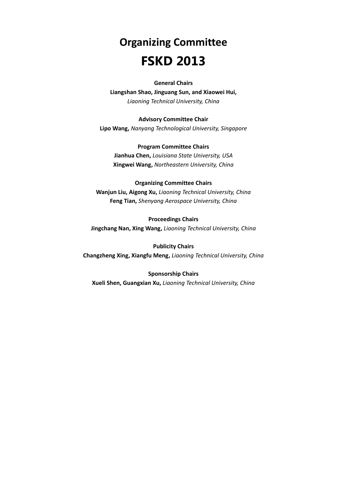# **Organizing Committee FSKD 2013**

#### **General Chairs**

**Liangshan Shao, Jinguang Sun, and Xiaowei Hui,** *Liaoning Technical University, China*

#### **Advisory Committee Chair**

**Lipo Wang,** *Nanyang Technological University, Singapore*

### **Program Committee Chairs**

**Jianhua Chen,** *Louisiana State University, USA* **Xingwei Wang,** *Northeastern University, China*

#### **Organizing Committee Chairs**

**Wanjun Liu, Aigong Xu,** *Liaoning Technical University, China* **Feng Tian,** *Shenyang Aerospace University, China*

#### **Proceedings Chairs**

**Jingchang Nan, Xing Wang,** *Liaoning Technical University, China*

### **Publicity Chairs Changzheng Xing, Xiangfu Meng,** *Liaoning Technical University, China*

#### **Sponsorship Chairs**

**Xueli Shen, Guangxian Xu,** *Liaoning Technical University, China*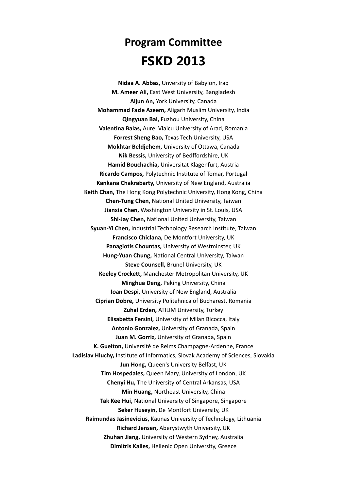## **Program Committee FSKD 2013**

**Nidaa A. Abbas,** Unversity of Babylon, Iraq **M. Ameer Ali,** East West University, Bangladesh **Aijun An,** York University, Canada **Mohammad Fazle Azeem,** Aligarh Muslim University, India **Qingyuan Bai,** Fuzhou University, China **Valentina Balas,** Aurel Vlaicu University of Arad, Romania **Forrest Sheng Bao,** Texas Tech University, USA **Mokhtar Beldjehem,** University of Ottawa, Canada **Nik Bessis,** University of Bedffordshire, UK **Hamid Bouchachia,** Universitat Klagenfurt, Austria **Ricardo Campos,** Polytechnic Institute of Tomar, Portugal **Kankana Chakrabarty,** University of New England, Australia **Keith Chan,** The Hong Kong Polytechnic University, Hong Kong, China **Chen-Tung Chen,** National United University, Taiwan **Jianxia Chen,** Washington University in St. Louis, USA **Shi-Jay Chen,** National United University, Taiwan **Syuan-Yi Chen,** Industrial Technology Research Institute, Taiwan **Francisco Chiclana,** De Montfort University, UK **Panagiotis Chountas,** University of Westminster, UK **Hung-Yuan Chung,** National Central University, Taiwan **Steve Counsell,** Brunel University, UK **Keeley Crockett,** Manchester Metropolitan University, UK **Minghua Deng,** Peking University, China **Ioan Despi,** University of New England, Australia **Ciprian Dobre,** University Politehnica of Bucharest, Romania **Zuhal Erden,** ATILIM University, Turkey **Elisabetta Fersini,** University of Milan Bicocca, Italy **Antonio Gonzalez,** University of Granada, Spain **Juan M. Gorriz,** University of Granada, Spain **K. Guelton,** Université de Reims Champagne-Ardenne, France **Ladislav Hluchy,** Institute of Informatics, Slovak Academy of Sciences, Slovakia **Jun Hong,** Queen's University Belfast, UK **Tim Hospedales,** Queen Mary, University of London, UK **Chenyi Hu,** The University of Central Arkansas, USA **Min Huang,** Northeast University, China **Tak Kee Hui,** National University of Singapore, Singapore **Seker Huseyin,** De Montfort University, UK **Raimundas Jasinevicius,** Kaunas University of Technology, Lithuania **Richard Jensen,** Aberystwyth University, UK **Zhuhan Jiang,** University of Western Sydney, Australia **Dimitris Kalles,** Hellenic Open University, Greece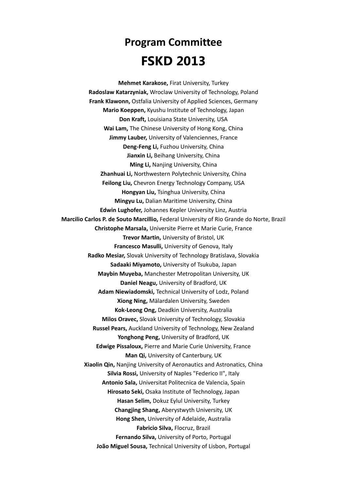### **Program Committee FSKD 2013**

**Mehmet Karakose,** Firat University, Turkey **Radoslaw Katarzyniak,** Wroclaw University of Technology, Poland **Frank Klawonn,** Ostfalia University of Applied Sciences, Germany **Mario Koeppen,** Kyushu Institute of Technology, Japan **Don Kraft,** Louisiana State University, USA **Wai Lam,** The Chinese University of Hong Kong, China **Jimmy Lauber,** University of Valenciennes, France **Deng-Feng Li,** Fuzhou University, China **Jianxin Li,** Beihang University, China **Ming Li,** Nanjing University, China **Zhanhuai Li,** Northwestern Polytechnic University, China **Feilong Liu,** Chevron Energy Technology Company, USA **Hongyan Liu,** Tsinghua University, China **Mingyu Lu,** Dalian Maritime University, China **Edwin Lughofer,** Johannes Kepler University Linz, Austria **Marcilio Carlos P. de Souto Marcillio,** Federal University of Rio Grande do Norte, Brazil **Christophe Marsala,** Universite Pierre et Marie Curie, France **Trevor Martin,** University of Bristol, UK **Francesco Masulli,** University of Genova, Italy **Radko Mesiar,** Slovak University of Technology Bratislava, Slovakia **Sadaaki Miyamoto,** University of Tsukuba, Japan **Maybin Muyeba,** Manchester Metropolitan University, UK **Daniel Neagu,** University of Bradford, UK **Adam Niewiadomski,** Technical University of Lodz, Poland **Xiong Ning,** Mälardalen University, Sweden **Kok-Leong Ong,** Deadkin University, Australia **Milos Oravec,** Slovak University of Technology, Slovakia **Russel Pears,** Auckland University of Technology, New Zealand **Yonghong Peng,** University of Bradford, UK **Edwige Pissaloux,** Pierre and Marie Curie University, France **Man Qi,** University of Canterbury, UK **Xiaolin Qin,** Nanjing University of Aeronautics and Astronatics, China **Silvia Rossi,** University of Naples "Federico II", Italy **Antonio Sala,** Universitat Politecnica de Valencia, Spain **Hirosato Seki,** Osaka Institute of Technology, Japan **Hasan Selim,** Dokuz Eylul University, Turkey **Changjing Shang,** Aberystwyth University, UK **Hong Shen,** University of Adelaide, Australia **Fabricio Silva,** Flocruz, Brazil **Fernando Silva,** University of Porto, Portugal **João Miguel Sousa,** Technical University of Lisbon, Portugal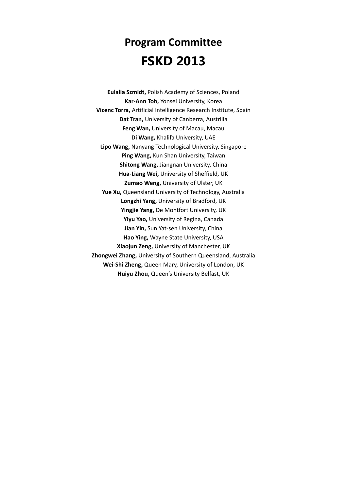### **Program Committee FSKD 2013**

**Eulalia Szmidt,** Polish Academy of Sciences, Poland **Kar-Ann Toh,** Yonsei University, Korea **Vicenc Torra,** Artificial Intelligence Research Institute, Spain **Dat Tran,** University of Canberra, Austrilia **Feng Wan,** University of Macau, Macau **Di Wang,** Khalifa University, UAE **Lipo Wang,** Nanyang Technological University, Singapore **Ping Wang,** Kun Shan University, Taiwan **Shitong Wang,** Jiangnan University, China **Hua-Liang Wei,** University of Sheffield, UK **Zumao Weng,** University of Ulster, UK **Yue Xu,** Queensland University of Technology, Australia **Longzhi Yang,** University of Bradford, UK **Yingjie Yang,** De Montfort University, UK **Yiyu Yao,** University of Regina, Canada **Jian Yin,** Sun Yat-sen University, China **Hao Ying,** Wayne State University, USA **Xiaojun Zeng,** University of Manchester, UK **Zhongwei Zhang,** University of Southern Queensland, Australia **Wei-Shi Zheng,** Queen Mary, University of London, UK **Huiyu Zhou,** Queen's University Belfast, UK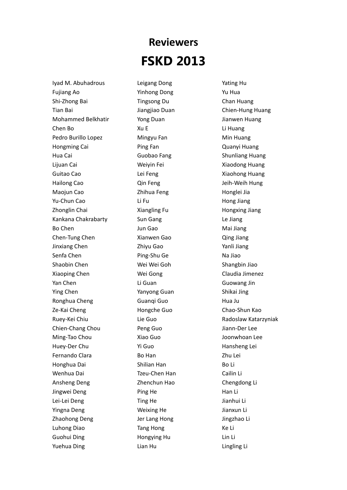## **Reviewers FSKD 2013**

Iyad M. Abuhadrous Fujiang Ao Shi-Zhong Bai Tian Bai Mohammed Belkhatir Chen Bo Pedro Burillo Lopez Hongming Cai Hua Cai Lijuan Cai Guitao Cao Hailong Cao Maojun Cao Yu-Chun Cao Zhonglin Chai Kankana Chakrabarty Bo Chen Chen-Tung Chen Jinxiang Chen Senfa Chen Shaobin Chen Xiaoping Chen Yan Chen Ying Chen Ronghua Cheng Ze-Kai Cheng Ruey-Kei Chiu Chien-Chang Chou Ming-Tao Chou Huey-Der Chu Fernando Clara Honghua Dai Wenhua Dai Ansheng Deng Jingwei Deng Lei-Lei Deng Yingna Deng Zhaohong Deng Luhong Diao Guohui Ding Yuehua Ding

Leigang Dong Yinhong Dong Tingsong Du Jiangjiao Duan Yong Duan Xu E Mingyu Fan Ping Fan Guobao Fang Weiyin Fei Lei Feng Qin Feng Zhihua Feng Li Fu Xiangling Fu Sun Gang Jun Gao Xianwen Gao Zhiyu Gao Ping-Shu Ge Wei Wei Goh Wei Gong Li Guan Yanyong Guan Guanqi Guo Hongche Guo Lie Guo Peng Guo Xiao Guo Yi Guo Bo Han Shilian Han Tzeu-Chen Han Zhenchun Hao Ping He Ting He Weixing He Jer Lang Hong Tang Hong Hongying Hu Lian Hu

Yating Hu Yu Hua Chan Huang Chien-Hung Huang Jianwen Huang Li Huang Min Huang Quanyi Huang Shunliang Huang Xiaodong Huang Xiaohong Huang Jeih-Weih Hung Honglei Jia Hong Jiang Hongxing Jiang Le Jiang Mai Jiang Qing Jiang Yanli Jiang Na Jiao Shangbin Jiao Claudia Jimenez Guowang Jin Shikai Jing Hua Ju Chao-Shun Kao Radoslaw Katarzyniak Jiann-Der Lee Joonwhoan Lee Hansheng Lei Zhu Lei Bo Li Cailin Li Chengdong Li Han Li Jianhui Li Jianxun Li Jingzhao Li Ke Li Lin Li Lingling Li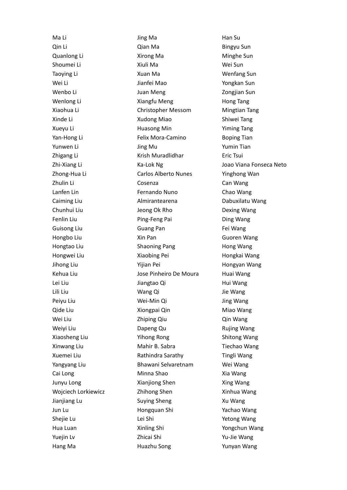Ma Li Qin Li Quanlong Li Shoumei Li Taoying Li Wei Li Wenbo Li Wenlong Li Xiaohua Li Xinde Li Xueyu Li Yan-Hong Li Yunwen Li Zhigang Li Zhi-Xiang Li Zhong-Hua Li Zhulin Li Lanfen Lin Caiming Liu Chunhui Liu Fenlin Liu Guisong Liu Hongbo Liu Hongtao Liu Hongwei Liu Jihong Liu Kehua Liu Lei Liu Lili Liu Peiyu Liu Qide Liu Wei Liu Weiyi Liu Xiaosheng Liu Xinwang Liu Xuemei Liu Yangyang Liu Cai Long Junyu Long Wojciech Lorkiewicz Jianjiang Lu Jun Lu Shejie Lu Hua Luan Yuejin Lv Hang Ma

Jing Ma Qian Ma Xirong Ma Xiuli Ma Xuan Ma Jianfei Mao Juan Meng Xiangfu Meng Christopher Messom Xudong Miao Huasong Min Felix Mora-Camino Jing Mu Krish Muradlidhar Ka-Lok Ng Carlos Alberto Nunes Cosenza Fernando Nuno Almirantearena Jeong Ok Rho Ping-Feng Pai Guang Pan Xin Pan Shaoning Pang Xiaobing Pei Yijian Pei Jose Pinheiro De Moura Jiangtao Qi Wang Qi Wei-Min Qi Xiongpai Qin Zhiping Qiu Dapeng Qu Yihong Rong Mahir B. Sabra Rathindra Sarathy Bhawani Selvaretnam Minna Shao Xianjiong Shen Zhihong Shen Suying Sheng Hongquan Shi Lei Shi Xinling Shi Zhicai Shi Huazhu Song

Han Su Bingyu Sun Minghe Sun Wei Sun Wenfang Sun Yongkan Sun Zongjian Sun Hong Tang Mingtian Tang Shiwei Tang Yiming Tang Boping Tian Yumin Tian Eric Tsui Joao Viana Fonseca Neto Yinghong Wan Can Wang Chao Wang Dabuxilatu Wang Dexing Wang Ding Wang Fei Wang Guoren Wang Hong Wang Hongkai Wang Hongyan Wang Huai Wang Hui Wang Jie Wang Jing Wang Miao Wang Qin Wang Rujing Wang Shitong Wang Tiechao Wang Tingli Wang Wei Wang Xia Wang Xing Wang Xinhua Wang Xu Wang Yachao Wang Yetong Wang Yongchun Wang Yu-Jie Wang Yunyan Wang